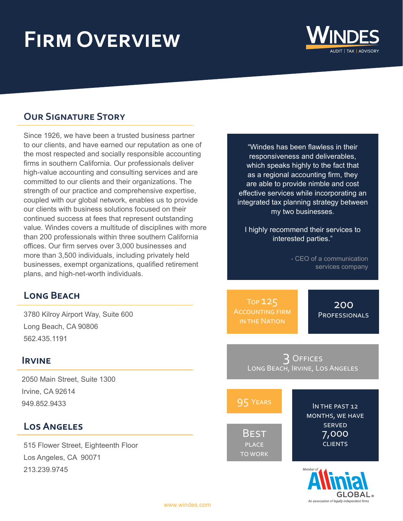# **Firm Overview**



## **Our Signature Story**

Since 1926, we have been a trusted business partner to our clients, and have earned our reputation as one of the most respected and socially responsible accounting firms in southern California. Our professionals deliver high-value accounting and consulting services and are committed to our clients and their organizations. The strength of our practice and comprehensive expertise, coupled with our global network, enables us to provide our clients with business solutions focused on their continued success at fees that represent outstanding value. Windes covers a multitude of disciplines with more than 200 professionals within three southern California offices. Our firm serves over 3,000 businesses and more than 3,500 individuals, including privately held businesses, exempt organizations, qualified retirement plans, and high-net-worth individuals.

## **Long Beach**

3780 Kilroy Airport Way, Suite 600 Long Beach, CA 90806 562.435.1191

#### **Irvine**

2050 Main Street, Suite 1300 Irvine, CA 92614 949.852.9433

## **Los Angeles**

515 Flower Street, Eighteenth Floor Los Angeles, CA 90071 213.239.9745

"Windes has been flawless in their responsiveness and deliverables, which speaks highly to the fact that as a regional accounting firm, they are able to provide nimble and cost effective services while incorporating an integrated tax planning strategy between my two businesses.

I highly recommend their services to interested parties."

> - CEO of a communication services company

Top 125 Accounting firm in the Nation

200 **PROFESSIONALS** 

3 Offices Long Beach, Irvine, Los Angeles

| 95 YEARS                                      | IN THE PAST 12                                              |
|-----------------------------------------------|-------------------------------------------------------------|
| <b>BEST</b><br><b>PLACE</b><br><b>TO WORK</b> | MONTHS, WE HAVE<br><b>SERVED</b><br>7,000<br><b>CLIENTS</b> |
|                                               | Member of $\triangle$                                       |